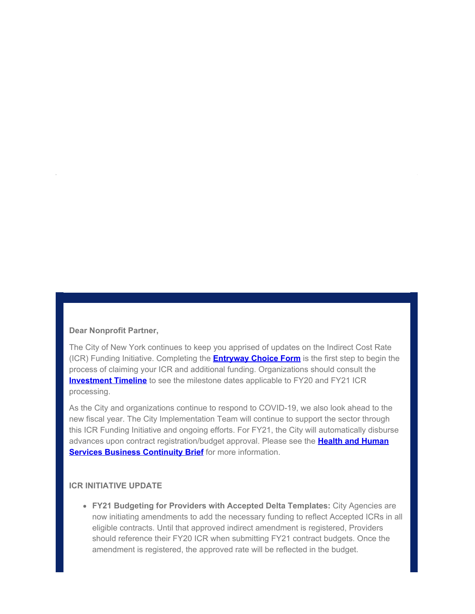#### **Dear Nonprofit Partner,**

The City of New York continues to keep you apprised of updates on the Indirect Cost Rate (ICR) Funding Initiative. Completing the **[Entryway Choice Form](https://gcc01.safelinks.protection.outlook.com/?url=https%3A%2F%2Fwww1.nyc.gov%2Fsite%2Fnonprofits%2Ffunded-providers%2Findirect-entryway-choice-form.page%3Futm_medium%3Demail%26utm_source%3Dgovdelivery&data=02%7C01%7Coluwa.small%40mocs.nyc.gov%7C26353d1ade514eaf73b108d812381121%7C32f56fc75f814e22a95b15da66513bef%7C0%7C0%7C637279380525319955&sdata=cvF051oXn%2FKd5Aeiyi4Nhi3gh7BT8yRtlmWAYFTiZKM%3D&reserved=0)** is the first step to begin the process of claiming your ICR and additional funding. Organizations should consult the **[Investment Timeline](https://gcc01.safelinks.protection.outlook.com/?url=https%3A%2F%2Fwww1.nyc.gov%2Fassets%2Fnonprofits%2Fdownloads%2Fpdf%2FInvestment%2520Timeline.pdf%3Futm_medium%3Demail%26utm_source%3Dgovdelivery&data=02%7C01%7Coluwa.small%40mocs.nyc.gov%7C26353d1ade514eaf73b108d812381121%7C32f56fc75f814e22a95b15da66513bef%7C0%7C0%7C637279380525329913&sdata=Ev93FDtFNbWFbKt7KUTu4Fb%2FfFz0ETiFYz7gCsq9Q0s%3D&reserved=0)** to see the milestone dates applicable to FY20 and FY21 ICR processing.

As the City and organizations continue to respond to COVID-19, we also look ahead to the new fiscal year. The City Implementation Team will continue to support the sector through this ICR Funding Initiative and ongoing efforts. For FY21, the City will automatically disburse advances upon contract registration/budget approval. Please see the **[Health and Human](https://gcc01.safelinks.protection.outlook.com/?url=https%3A%2F%2Fcontent.govdelivery.com%2Fattachments%2FNYCMOCS%2F2020%2F06%2F02%2Ffile_attachments%2F1464420%2FHumanService_BusinessContinuity.pdf&data=02%7C01%7Coluwa.small%40mocs.nyc.gov%7C26353d1ade514eaf73b108d812381121%7C32f56fc75f814e22a95b15da66513bef%7C0%7C0%7C637279380525329913&sdata=JsMZbq%2BNSH6V8kq%2FjyIyhJsm%2FfJK5x2nn6LaA%2FOgl2g%3D&reserved=0) [Services Business Continuity Brief](https://gcc01.safelinks.protection.outlook.com/?url=https%3A%2F%2Fcontent.govdelivery.com%2Fattachments%2FNYCMOCS%2F2020%2F06%2F02%2Ffile_attachments%2F1464420%2FHumanService_BusinessContinuity.pdf&data=02%7C01%7Coluwa.small%40mocs.nyc.gov%7C26353d1ade514eaf73b108d812381121%7C32f56fc75f814e22a95b15da66513bef%7C0%7C0%7C637279380525329913&sdata=JsMZbq%2BNSH6V8kq%2FjyIyhJsm%2FfJK5x2nn6LaA%2FOgl2g%3D&reserved=0)** for more information.

#### **ICR INITIATIVE UPDATE**

**FY21 Budgeting for Providers with Accepted Delta Templates:** City Agencies are now initiating amendments to add the necessary funding to reflect Accepted ICRs in all eligible contracts. Until that approved indirect amendment is registered, Providers should reference their FY20 ICR when submitting FY21 contract budgets. Once the amendment is registered, the approved rate will be reflected in the budget.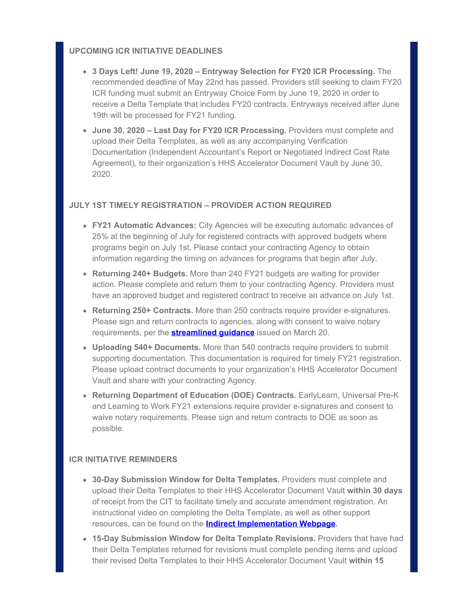# **UPCOMING ICR INITIATIVE DEADLINES**

- **3 Days Left! June 19, 2020 Entryway Selection for FY20 ICR Processing.** The recommended deadline of May 22nd has passed. Providers still seeking to claim FY20 ICR funding must submit an Entryway Choice Form by June 19, 2020 in order to receive a Delta Template that includes FY20 contracts. Entryways received after June 19th will be processed for FY21 funding.
- **June 30, 2020 Last Day for FY20 ICR Processing.** Providers must complete and upload their Delta Templates, as well as any accompanying Verification Documentation (Independent Accountant's Report or Negotiated Indirect Cost Rate Agreement), to their organization's HHS Accelerator Document Vault by June 30, 2020.

## **JULY 1ST TIMELY REGISTRATION – PROVIDER ACTION REQUIRED**

- **FY21 Automatic Advances:** City Agencies will be executing automatic advances of 25% at the beginning of July for registered contracts with approved budgets where programs begin on July 1st. Please contact your contracting Agency to obtain information regarding the timing on advances for programs that begin after July.
- **Returning 240+ Budgets.** More than 240 FY21 budgets are waiting for provider action. Please complete and return them to your contracting Agency. Providers must have an approved budget and registered contract to receive an advance on July 1st.
- **Returning 250+ Contracts.** More than 250 contracts require provider e-signatures. Please sign and return contracts to agencies, along with consent to waive notary requirements, per the **[streamlined guidance](https://gcc01.safelinks.protection.outlook.com/?url=https%3A%2F%2Fwww1.nyc.gov%2Fassets%2Fdoh%2Fdownloads%2Fpdf%2Fimm%2Fcovid-letter-to-human-service-providers.pdf%3Futm_medium%3Demail%26utm_source%3Dgovdelivery&data=02%7C01%7Coluwa.small%40mocs.nyc.gov%7C26353d1ade514eaf73b108d812381121%7C32f56fc75f814e22a95b15da66513bef%7C0%7C0%7C637279380525339869&sdata=zT09xfGTFVQQ9ICF81W0ZIlA%2ByFTHIghT0YDTHeiRXE%3D&reserved=0)** issued on March 20.
- **Uploading 540+ Documents.** More than 540 contracts require providers to submit supporting documentation. This documentation is required for timely FY21 registration. Please upload contract documents to your organization's HHS Accelerator Document Vault and share with your contracting Agency.
- **Returning Department of Education (DOE) Contracts.** EarlyLearn, Universal Pre-K and Learning to Work FY21 extensions require provider e-signatures and consent to waive notary requirements. Please sign and return contracts to DOE as soon as possible.

#### **ICR INITIATIVE REMINDERS**

- **30-Day Submission Window for Delta Templates.** Providers must complete and upload their Delta Templates to their HHS Accelerator Document Vault **within 30 days** of receipt from the CIT to facilitate timely and accurate amendment registration. An instructional video on completing the Delta Template, as well as other support resources, can be found on the **[Indirect Implementation Webpage](https://gcc01.safelinks.protection.outlook.com/?url=https%3A%2F%2Fwww1.nyc.gov%2Fsite%2Fnonprofits%2Ffunded-providers%2Findirect-implementation.page%3Futm_medium%3Demail%26utm_source%3Dgovdelivery&data=02%7C01%7Coluwa.small%40mocs.nyc.gov%7C26353d1ade514eaf73b108d812381121%7C32f56fc75f814e22a95b15da66513bef%7C0%7C0%7C637279380525339869&sdata=HCKhG9M0JypPKBcxUhovB5PPBl6UjbH3xXZzSyQGHVQ%3D&reserved=0).**
- **15-Day Submission Window for Delta Template Revisions.** Providers that have had their Delta Templates returned for revisions must complete pending items and upload their revised Delta Templates to their HHS Accelerator Document Vault **within 15**